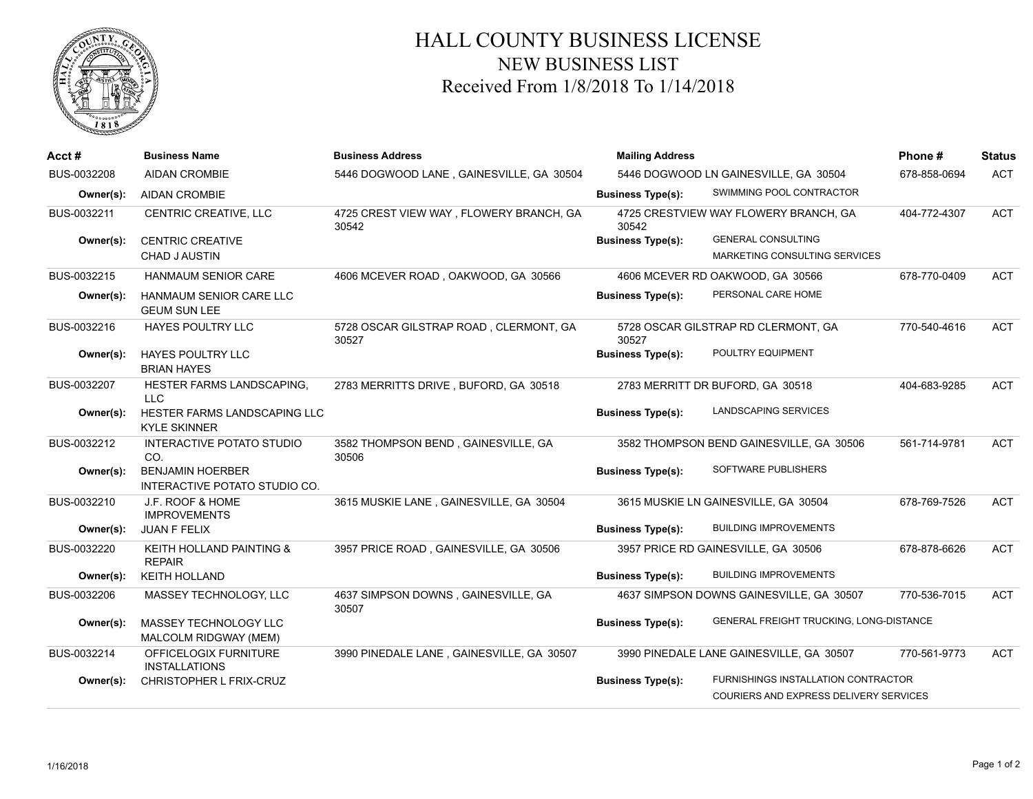

## HALL COUNTY BUSINESS LICENSE NEW BUSINESS LIST Received From 1/8/2018 To 1/14/2018

| Acct#       | <b>Business Name</b>                                     | <b>Business Address</b>                          | <b>Mailing Address</b>                |                                                                               | Phone#       | <b>Status</b> |
|-------------|----------------------------------------------------------|--------------------------------------------------|---------------------------------------|-------------------------------------------------------------------------------|--------------|---------------|
| BUS-0032208 | <b>AIDAN CROMBIE</b>                                     | 5446 DOGWOOD LANE, GAINESVILLE, GA 30504         | 5446 DOGWOOD LN GAINESVILLE, GA 30504 |                                                                               | 678-858-0694 | <b>ACT</b>    |
| Owner(s):   | <b>AIDAN CROMBIE</b>                                     |                                                  | <b>Business Type(s):</b>              | SWIMMING POOL CONTRACTOR                                                      |              |               |
| BUS-0032211 | CENTRIC CREATIVE, LLC                                    | 4725 CREST VIEW WAY, FLOWERY BRANCH, GA<br>30542 | 30542                                 | 4725 CRESTVIEW WAY FLOWERY BRANCH, GA                                         | 404-772-4307 | <b>ACT</b>    |
| Owner(s):   | <b>CENTRIC CREATIVE</b><br><b>CHAD J AUSTIN</b>          |                                                  | <b>Business Type(s):</b>              | <b>GENERAL CONSULTING</b><br>MARKETING CONSULTING SERVICES                    |              |               |
| BUS-0032215 | <b>HANMAUM SENIOR CARE</b>                               | 4606 MCEVER ROAD, OAKWOOD, GA 30566              |                                       | 4606 MCEVER RD OAKWOOD, GA 30566                                              | 678-770-0409 | <b>ACT</b>    |
| Owner(s):   | HANMAUM SENIOR CARE LLC<br><b>GEUM SUN LEE</b>           |                                                  | <b>Business Type(s):</b>              | PERSONAL CARE HOME                                                            |              |               |
| BUS-0032216 | <b>HAYES POULTRY LLC</b>                                 | 5728 OSCAR GILSTRAP ROAD, CLERMONT, GA<br>30527  | 30527                                 | 5728 OSCAR GILSTRAP RD CLERMONT, GA                                           | 770-540-4616 | <b>ACT</b>    |
| Owner(s):   | <b>HAYES POULTRY LLC</b><br><b>BRIAN HAYES</b>           |                                                  | <b>Business Type(s):</b>              | POULTRY EQUIPMENT                                                             |              |               |
| BUS-0032207 | HESTER FARMS LANDSCAPING,<br><b>LLC</b>                  | 2783 MERRITTS DRIVE, BUFORD, GA 30518            |                                       | 2783 MERRITT DR BUFORD, GA 30518                                              | 404-683-9285 | <b>ACT</b>    |
| Owner(s):   | HESTER FARMS LANDSCAPING LLC<br><b>KYLE SKINNER</b>      |                                                  | <b>Business Type(s):</b>              | LANDSCAPING SERVICES                                                          |              |               |
| BUS-0032212 | <b>INTERACTIVE POTATO STUDIO</b><br>CO.                  | 3582 THOMPSON BEND, GAINESVILLE, GA<br>30506     |                                       | 3582 THOMPSON BEND GAINESVILLE, GA 30506                                      | 561-714-9781 | <b>ACT</b>    |
| Owner(s):   | <b>BENJAMIN HOERBER</b><br>INTERACTIVE POTATO STUDIO CO. |                                                  | <b>Business Type(s):</b>              | SOFTWARE PUBLISHERS                                                           |              |               |
| BUS-0032210 | J.F. ROOF & HOME<br><b>IMPROVEMENTS</b>                  | 3615 MUSKIE LANE, GAINESVILLE, GA 30504          |                                       | 3615 MUSKIE LN GAINESVILLE, GA 30504                                          | 678-769-7526 | <b>ACT</b>    |
| Owner(s):   | <b>JUAN F FELIX</b>                                      |                                                  | <b>Business Type(s):</b>              | <b>BUILDING IMPROVEMENTS</b>                                                  |              |               |
| BUS-0032220 | KEITH HOLLAND PAINTING &<br><b>REPAIR</b>                | 3957 PRICE ROAD, GAINESVILLE, GA 30506           |                                       | 3957 PRICE RD GAINESVILLE, GA 30506                                           | 678-878-6626 | <b>ACT</b>    |
| Owner(s):   | <b>KEITH HOLLAND</b>                                     |                                                  | <b>Business Type(s):</b>              | <b>BUILDING IMPROVEMENTS</b>                                                  |              |               |
| BUS-0032206 | MASSEY TECHNOLOGY, LLC                                   | 4637 SIMPSON DOWNS, GAINESVILLE, GA<br>30507     |                                       | 4637 SIMPSON DOWNS GAINESVILLE, GA 30507                                      | 770-536-7015 | <b>ACT</b>    |
| Owner(s):   | MASSEY TECHNOLOGY LLC<br>MALCOLM RIDGWAY (MEM)           |                                                  | <b>Business Type(s):</b>              | GENERAL FREIGHT TRUCKING, LONG-DISTANCE                                       |              |               |
| BUS-0032214 | OFFICELOGIX FURNITURE<br><b>INSTALLATIONS</b>            | 3990 PINEDALE LANE, GAINESVILLE, GA 30507        |                                       | 3990 PINEDALE LANE GAINESVILLE, GA 30507                                      | 770-561-9773 | <b>ACT</b>    |
| Owner(s):   | CHRISTOPHER L FRIX-CRUZ                                  |                                                  | <b>Business Type(s):</b>              | FURNISHINGS INSTALLATION CONTRACTOR<br>COURIERS AND EXPRESS DELIVERY SERVICES |              |               |